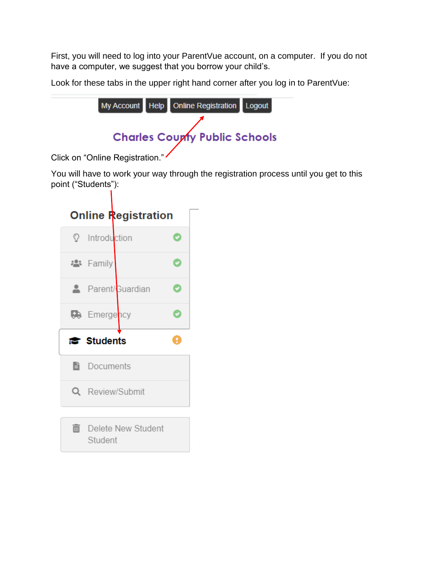First, you will need to log into your ParentVue account, on a computer. If you do not have a computer, we suggest that you borrow your child's.

Look for these tabs in the upper right hand corner after you log in to ParentVue:

|  | My Account Help Online Registration Logout |  |
|--|--------------------------------------------|--|
|  |                                            |  |
|  | <b>Charles Coupty Public Schools</b>       |  |

Click on "Online Registration."

You will have to work your way through the registration process until you get to this point ("Students"):

| <b>Online Registration</b> |   |
|----------------------------|---|
| <sup>2</sup> Introduction  |   |
| <b>※</b> Family            |   |
| Parent/Guardian            | ø |
| <b>C</b> Emergency         | ᢦ |
|                            |   |
| rstudents                  | т |
| <b>Documents</b>           |   |
| Q Review/Submit            |   |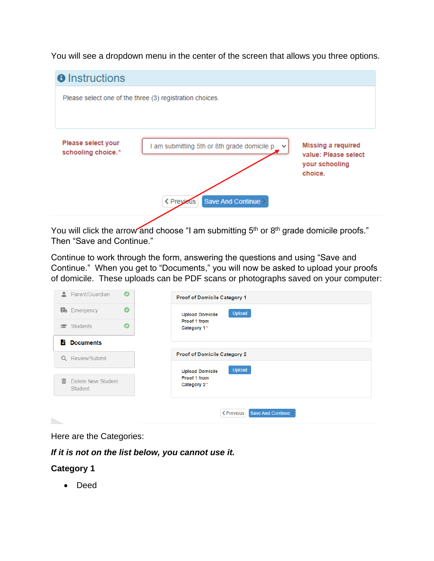You will see a dropdown menu in the center of the screen that allows you three options.



You will click the arrow and choose "I am submitting 5<sup>th</sup> or 8<sup>th</sup> grade domicile proofs." Then "Save and Continue."

Continue to work through the form, answering the questions and using "Save and Continue." When you get to "Documents," you will now be asked to upload your proofs of domicile. These uploads can be PDF scans or photographs saved on your computer:

| O<br>B₿.<br>Emergency<br>Proof 1 from<br>O<br>Students<br>倉 | Upload<br><b>Upload Domicile</b>                 |
|-------------------------------------------------------------|--------------------------------------------------|
|                                                             |                                                  |
|                                                             | Category 1*                                      |
| B<br><b>Documents</b>                                       |                                                  |
| Q<br>Review/Submit                                          | Proof of Domicile Category 2                     |
| 而<br>Delete New Student<br>Category 2*<br>Student           | Upload<br><b>Upload Domicile</b><br>Proof 1 from |

Here are the Categories:

*If it is not on the list below, you cannot use it.*

## **Category 1**

• Deed